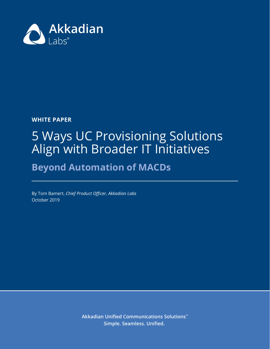

### **WHITE PAPER**

# 5 Ways UC Provisioning Solutions Align with Broader IT Initiatives

## **Beyond Automation of MACDs**

By Tom Bamert, *Chief Product Officer, Akkadian Labs* October 2019

> **Akkadian Unified Communications Solutions™ Simple. Seamless. Unified.**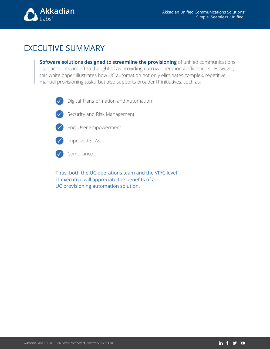

### EXECUTIVE SUMMARY

**Software solutions designed to streamline the provisioning** of unified communications user accounts are often thought of as providing narrow operational efficiencies. However, this white paper illustrates how UC automation not only eliminates complex, repetitive manual provisioning tasks, but also supports broader IT initiatives, such as:



Digital Transformation and Automation



Security and Risk Management



End-User Empowerment



Improved SLAs



Compliance

Thus, both the UC operations team and the VP/C-level IT executive will appreciate the benefits of a UC provisioning automation solution.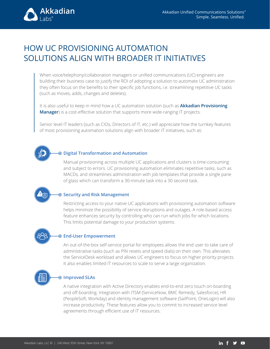

### HOW UC PROVISIONING AUTOMATION SOLUTIONS ALIGN WITH BROADER IT INITIATIVES

When voice/telephony/collaboration managers or unified communications (UC) engineers are building their business case to justify the ROI of adopting a solution to automate UC administration they often focus on the benefits to their specific job functions, i.e. streamlining repetitive UC tasks (such as moves, adds, changes and deletes).

It is also useful to keep in mind how a UC automation solution (such as **[Akkadian Provisioning](https://www.akkadianlabs.com/products/akkadian-provisioning-manager/schedule-a-demo/)  [Manager](https://www.akkadianlabs.com/products/akkadian-provisioning-manager/schedule-a-demo/)**) is a cost-effective solution that supports more wide-ranging IT projects.

Senior level IT leaders (such as CIOs, Directors of IT, etc.) will appreciate how the turnkey features of most provisioning automation solutions align with broader IT initiatives, such as:

#### **Digital Transformation and Automation**

Manual provisioning across multiple UC applications and clusters is time-consuming and subject to errors. UC provisioning automation eliminates repetitive tasks, such as MACDs, and streamlines administration with job templates that provide a single pane of glass which can transform a 30-minute task into a 30 second task.

#### **Security and Risk Management**

Restricting access to your native UC applications with provisioning automation software helps minimize the possibility of service disruptions and outages. A role-based access feature enhances security by controlling who can run which jobs for which locations. This limits potential damage to your production systems.

#### **End-User Empowerment**

An out-of-the-box self-service portal for employees allows the end user to take care of administrative tasks (such as PIN resets and speed dials) on their own. This alleviates the ServiceDesk workload and allows UC engineers to focus on higher priority projects. It also enables limited IT resources to scale to serve a large organization.



#### **Improved SLAs**

A native integration with Active Directory enables end-to-end zero touch on-boarding and off-boarding. Integration with ITSM (ServiceNow, BMC Remedy, Salesforce), HR (PeopleSoft, Workday) and identity management software (SailPoint, OneLogin) will also increase productivity. These features allow you to commit to increased service level agreements through efficient use of IT resources.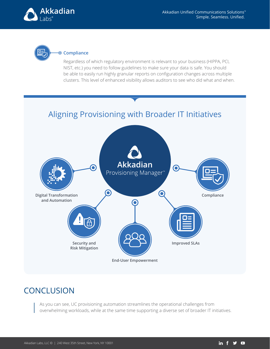



#### **Compliance**

Regardless of which regulatory environment is relevant to your business (HIPPA, PCI, NIST, etc.) you need to follow guidelines to make sure your data is safe. You should be able to easily run highly granular reports on configuration changes across multiple clusters. This level of enhanced visibility allows auditors to see who did what and when.

### Aligning Provisioning with Broader IT Initiatives



### **CONCLUSION**

As you can see, UC provisioning automation streamlines the operational challenges from overwhelming workloads, while at the same time supporting a diverse set of broader IT initiatives.